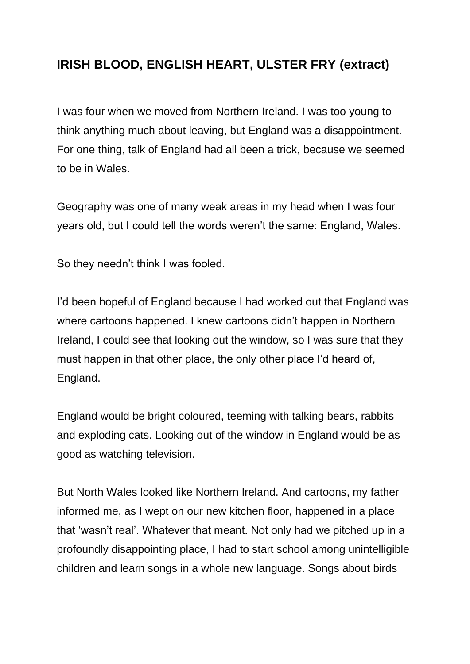## **IRISH BLOOD, ENGLISH HEART, ULSTER FRY (extract)**

I was four when we moved from Northern Ireland. I was too young to think anything much about leaving, but England was a disappointment. For one thing, talk of England had all been a trick, because we seemed to be in Wales.

Geography was one of many weak areas in my head when I was four years old, but I could tell the words weren't the same: England, Wales.

So they needn't think I was fooled.

I'd been hopeful of England because I had worked out that England was where cartoons happened. I knew cartoons didn't happen in Northern Ireland, I could see that looking out the window, so I was sure that they must happen in that other place, the only other place I'd heard of, England.

England would be bright coloured, teeming with talking bears, rabbits and exploding cats. Looking out of the window in England would be as good as watching television.

But North Wales looked like Northern Ireland. And cartoons, my father informed me, as I wept on our new kitchen floor, happened in a place that 'wasn't real'. Whatever that meant. Not only had we pitched up in a profoundly disappointing place, I had to start school among unintelligible children and learn songs in a whole new language. Songs about birds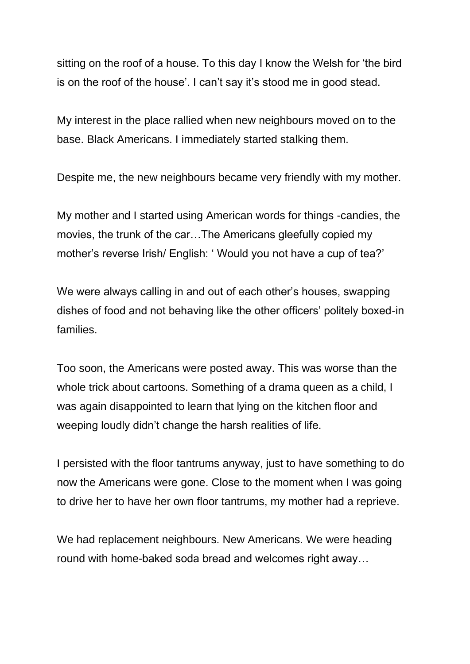sitting on the roof of a house. To this day I know the Welsh for 'the bird is on the roof of the house'. I can't say it's stood me in good stead.

My interest in the place rallied when new neighbours moved on to the base. Black Americans. I immediately started stalking them.

Despite me, the new neighbours became very friendly with my mother.

My mother and I started using American words for things -candies, the movies, the trunk of the car…The Americans gleefully copied my mother's reverse Irish/ English: ' Would you not have a cup of tea?'

We were always calling in and out of each other's houses, swapping dishes of food and not behaving like the other officers' politely boxed-in families.

Too soon, the Americans were posted away. This was worse than the whole trick about cartoons. Something of a drama queen as a child, I was again disappointed to learn that lying on the kitchen floor and weeping loudly didn't change the harsh realities of life.

I persisted with the floor tantrums anyway, just to have something to do now the Americans were gone. Close to the moment when I was going to drive her to have her own floor tantrums, my mother had a reprieve.

We had replacement neighbours. New Americans. We were heading round with home-baked soda bread and welcomes right away…